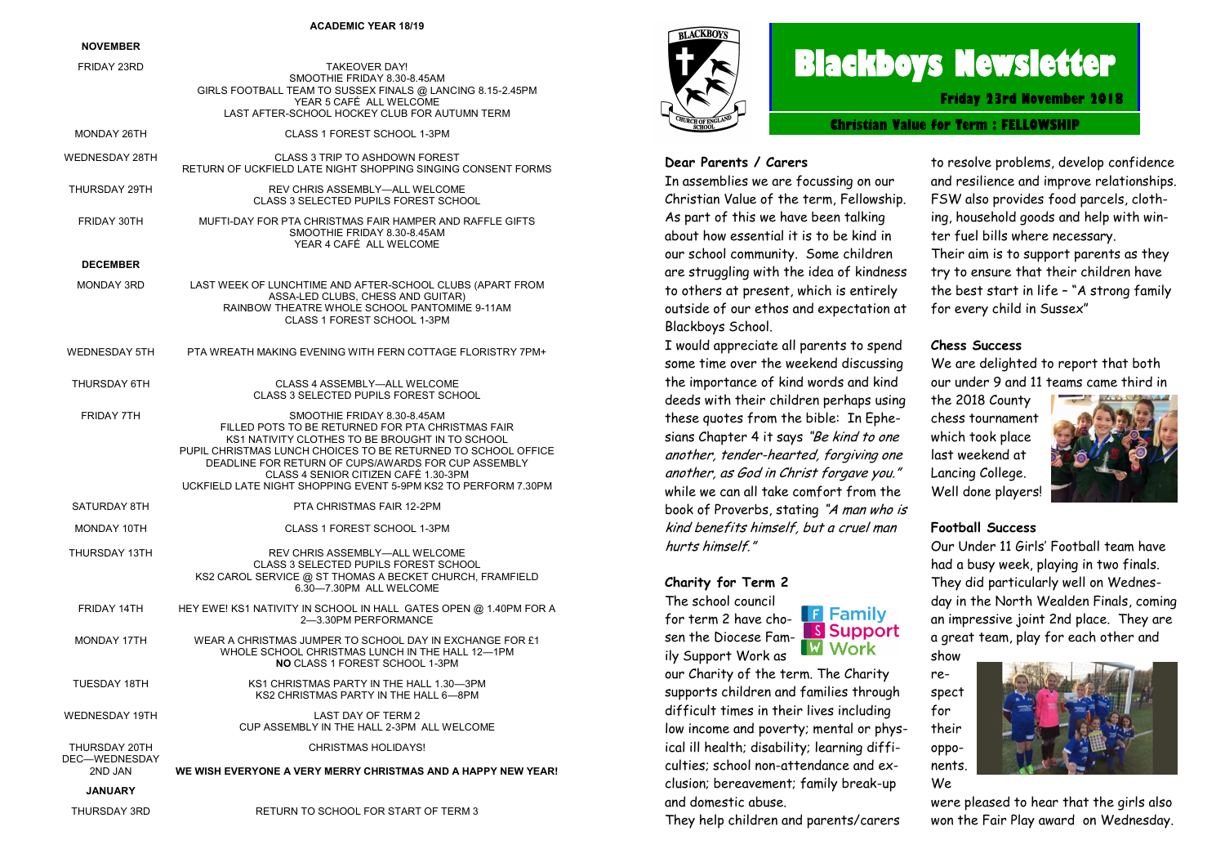#### **ACADEMIC YEAR 18/19**

#### **NOVEMBER**

| FRIDAY 23RD                    | <b>TAKEOVER DAY!</b><br>SMOOTHIE FRIDAY 8.30-8.45AM<br>GIRLS FOOTBALL TEAM TO SUSSEX FINALS @ LANCING 8.15-2.45PM<br>YEAR 5 CAFÉ ALL WELCOME<br>LAST AFTER-SCHOOL HOCKEY CLUB FOR AUTUMN TERM                                                                                                                                                                         |
|--------------------------------|-----------------------------------------------------------------------------------------------------------------------------------------------------------------------------------------------------------------------------------------------------------------------------------------------------------------------------------------------------------------------|
| MONDAY 26TH                    | CLASS 1 FOREST SCHOOL 1-3PM                                                                                                                                                                                                                                                                                                                                           |
| <b>WEDNESDAY 28TH</b>          | <b>CLASS 3 TRIP TO ASHDOWN FOREST</b><br>RETURN OF UCKFIELD LATE NIGHT SHOPPING SINGING CONSENT FORMS                                                                                                                                                                                                                                                                 |
| THURSDAY 29TH                  | REV CHRIS ASSEMBLY-ALL WELCOME<br><b>CLASS 3 SELECTED PUPILS FOREST SCHOOL</b>                                                                                                                                                                                                                                                                                        |
| FRIDAY 30TH                    | MUFTI-DAY FOR PTA CHRISTMAS FAIR HAMPER AND RAFFLE GIFTS<br>SMOOTHIE FRIDAY 8.30-8.45AM<br>YEAR 4 CAFÉ ALL WELCOME                                                                                                                                                                                                                                                    |
| <b>DECEMBER</b>                |                                                                                                                                                                                                                                                                                                                                                                       |
| <b>MONDAY 3RD</b>              | LAST WEEK OF LUNCHTIME AND AFTER-SCHOOL CLUBS (APART FROM<br>ASSA-LED CLUBS, CHESS AND GUITAR)<br>RAINBOW THEATRE WHOLE SCHOOL PANTOMIME 9-11AM<br>CLASS 1 FOREST SCHOOL 1-3PM                                                                                                                                                                                        |
| <b>WEDNESDAY 5TH</b>           | PTA WREATH MAKING EVENING WITH FERN COTTAGE FLORISTRY 7PM+                                                                                                                                                                                                                                                                                                            |
| THURSDAY 6TH                   | CLASS 4 ASSEMBLY-ALL WELCOME<br>CLASS 3 SELECTED PUPILS FOREST SCHOOL                                                                                                                                                                                                                                                                                                 |
| <b>FRIDAY 7TH</b>              | SMOOTHIE FRIDAY 8.30-8.45AM<br>FILLED POTS TO BE RETURNED FOR PTA CHRISTMAS FAIR<br>KS1 NATIVITY CLOTHES TO BE BROUGHT IN TO SCHOOL<br>PUPIL CHRISTMAS LUNCH CHOICES TO BE RETURNED TO SCHOOL OFFICE<br>DEADLINE FOR RETURN OF CUPS/AWARDS FOR CUP ASSEMBLY<br>CLASS 4 SENIOR CITIZEN CAFÉ 1.30-3PM<br>UCKFIELD LATE NIGHT SHOPPING EVENT 5-9PM KS2 TO PERFORM 7.30PM |
| SATURDAY 8TH                   | PTA CHRISTMAS FAIR 12-2PM                                                                                                                                                                                                                                                                                                                                             |
| MONDAY 10TH                    | CLASS 1 FOREST SCHOOL 1-3PM                                                                                                                                                                                                                                                                                                                                           |
| THURSDAY 13TH                  | REV CHRIS ASSEMBLY-ALL WELCOME<br><b>CLASS 3 SELECTED PUPILS FOREST SCHOOL</b><br>KS2 CAROL SERVICE @ ST THOMAS A BECKET CHURCH, FRAMFIELD<br>6.30-7.30PM ALL WELCOME                                                                                                                                                                                                 |
| FRIDAY 14TH                    | HEY EWE! KS1 NATIVITY IN SCHOOL IN HALL GATES OPEN @ 1.40PM FOR A<br>2-3.30PM PERFORMANCE                                                                                                                                                                                                                                                                             |
| MONDAY 17TH                    | WEAR A CHRISTMAS JUMPER TO SCHOOL DAY IN EXCHANGE FOR £1<br>WHOLE SCHOOL CHRISTMAS LUNCH IN THE HALL 12-1PM<br><b>NO CLASS 1 FOREST SCHOOL 1-3PM</b>                                                                                                                                                                                                                  |
| <b>TUESDAY 18TH</b>            | KS1 CHRISTMAS PARTY IN THE HALL 1.30-3PM<br>KS2 CHRISTMAS PARTY IN THE HALL 6-8PM                                                                                                                                                                                                                                                                                     |
| <b>WEDNESDAY 19TH</b>          | LAST DAY OF TERM 2<br>CUP ASSEMBLY IN THE HALL 2-3PM ALL WELCOME                                                                                                                                                                                                                                                                                                      |
| THURSDAY 20TH<br>DEC-WEDNESDAY | <b>CHRISTMAS HOLIDAYS!</b>                                                                                                                                                                                                                                                                                                                                            |
| 2ND JAN<br><b>JANUARY</b>      | WE WISH EVERYONE A VERY MERRY CHRISTMAS AND A HAPPY NEW YEAR!                                                                                                                                                                                                                                                                                                         |
| THURSDAY 3RD                   | RETURN TO SCHOOL FOR START OF TERM 3                                                                                                                                                                                                                                                                                                                                  |
|                                |                                                                                                                                                                                                                                                                                                                                                                       |



# **Blackboys Newsletter**

**Friday 23rd November 2018**

**Christian Value for Term : FELLOWSHIP**

#### **Dear Parents / Carers**

In assemblies we are focussing on our Christian Value of the term, Fellowship. As part of this we have been talking about how essential it is to be kind in our school community. Some children are struggling with the idea of kindness to others at present, which is entirely outside of our ethos and expectation at Blackboys School.

I would appreciate all parents to spend some time over the weekend discussing the importance of kind words and kind deeds with their children perhaps using these quotes from the bible: In Ephesians Chapter 4 it says "Be kind to one another, tender-hearted, forgiving one another, as God in Christ forgave you." while we can all take comfort from the book of Proverbs, stating "A man who is kind benefits himself, but a cruel man hurts himself"

#### **Charity for Term 2**

The school council for term 2 have chosen the Diocese Family Support Work as

**F** Family **S** Support **W** Work

our Charity of the term. The Charity supports children and families through difficult times in their lives including low income and poverty; mental or physical ill health; disability; learning difficulties; school non-attendance and exclusion; bereavement; family break-up and domestic abuse.

They help children and parents/carers

to resolve problems, develop confidence and resilience and improve relationships. FSW also provides food parcels, clothing, household goods and help with winter fuel bills where necessary. Their aim is to support parents as they try to ensure that their children have the best start in life – "A strong family for every child in Sussex"

#### **Chess Success**

We are delighted to report that both our under 9 and 11 teams came third in

the 2018 County chess tournament which took place last weekend at Lancing College. Well done players!



#### **Football Success**

Our Under 11 Girls' Football team have had a busy week, playing in two finals. They did particularly well on Wednesday in the North Wealden Finals, coming an impressive joint 2nd place. They are a great team, play for each other and show

respect for their opponents. We

were pleased to hear that the girls also won the Fair Play award on Wednesday.